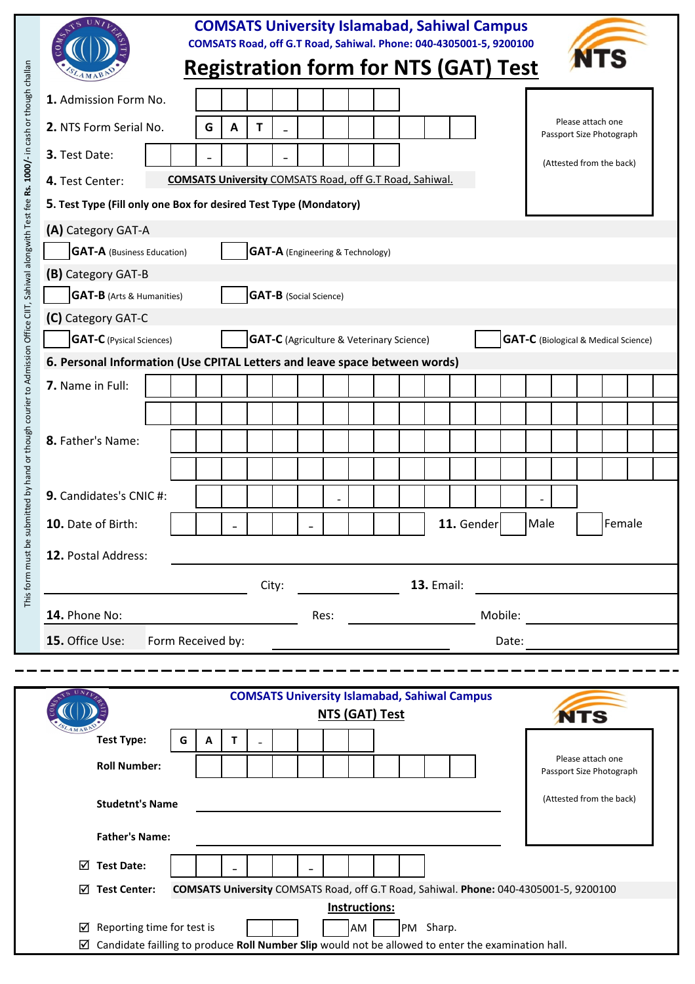|                                                                                                                                                                                                                                                |                        |                                                                                                    |                          |                          |   |              |   |  |                                                                                       |  | <b>COMSATS University Islamabad, Sahiwal Campus</b><br>COMSATS Road, off G.T Road, Sahiwal. Phone: 040-4305001-5, 9200100 |  |           |  |  |            |       |      |  |                   |                          |  |  |
|------------------------------------------------------------------------------------------------------------------------------------------------------------------------------------------------------------------------------------------------|------------------------|----------------------------------------------------------------------------------------------------|--------------------------|--------------------------|---|--------------|---|--|---------------------------------------------------------------------------------------|--|---------------------------------------------------------------------------------------------------------------------------|--|-----------|--|--|------------|-------|------|--|-------------------|--------------------------|--|--|
|                                                                                                                                                                                                                                                |                        |                                                                                                    |                          |                          |   |              |   |  |                                                                                       |  | <b>Registration form for NTS (GAT) Test</b>                                                                               |  |           |  |  |            |       |      |  |                   |                          |  |  |
|                                                                                                                                                                                                                                                |                        | 1. Admission Form No.                                                                              |                          |                          |   |              |   |  |                                                                                       |  |                                                                                                                           |  |           |  |  |            |       |      |  |                   |                          |  |  |
|                                                                                                                                                                                                                                                | 2. NTS Form Serial No. |                                                                                                    |                          |                          | G | A            | Т |  |                                                                                       |  |                                                                                                                           |  |           |  |  |            |       |      |  | Please attach one | Passport Size Photograph |  |  |
|                                                                                                                                                                                                                                                | 3. Test Date:          |                                                                                                    |                          |                          |   |              |   |  |                                                                                       |  |                                                                                                                           |  |           |  |  |            |       |      |  |                   | (Attested from the back) |  |  |
|                                                                                                                                                                                                                                                | 4. Test Center:        |                                                                                                    |                          |                          |   |              |   |  |                                                                                       |  | <b>COMSATS University COMSATS Road, off G.T Road, Sahiwal.</b>                                                            |  |           |  |  |            |       |      |  |                   |                          |  |  |
|                                                                                                                                                                                                                                                |                        | 5. Test Type (Fill only one Box for desired Test Type (Mondatory)                                  |                          |                          |   |              |   |  |                                                                                       |  |                                                                                                                           |  |           |  |  |            |       |      |  |                   |                          |  |  |
|                                                                                                                                                                                                                                                |                        | (A) Category GAT-A                                                                                 |                          |                          |   |              |   |  |                                                                                       |  |                                                                                                                           |  |           |  |  |            |       |      |  |                   |                          |  |  |
|                                                                                                                                                                                                                                                |                        | <b>GAT-A</b> (Business Education)                                                                  |                          |                          |   |              |   |  |                                                                                       |  | <b>GAT-A</b> (Engineering & Technology)                                                                                   |  |           |  |  |            |       |      |  |                   |                          |  |  |
| submitted by hand or though courier to Admission Office CIIT, Sahiwal alongwith Test fee Rs. 1000/- in cash or though challan<br>(B) Category GAT-B<br><b>GAT-B</b> (Arts & Humanities)<br><b>GAT-B</b> (Social Science)<br>(C) Category GAT-C |                        |                                                                                                    |                          |                          |   |              |   |  |                                                                                       |  |                                                                                                                           |  |           |  |  |            |       |      |  |                   |                          |  |  |
|                                                                                                                                                                                                                                                |                        |                                                                                                    |                          |                          |   |              |   |  |                                                                                       |  |                                                                                                                           |  |           |  |  |            |       |      |  |                   |                          |  |  |
|                                                                                                                                                                                                                                                |                        |                                                                                                    |                          |                          |   |              |   |  |                                                                                       |  |                                                                                                                           |  |           |  |  |            |       |      |  |                   |                          |  |  |
| <b>GAT-C</b> (Pysical Sciences)<br><b>GAT-C</b> (Agriculture & Veterinary Science)<br><b>GAT-C</b> (Biological & Medical Science)<br>6. Personal Information (Use CPITAL Letters and leave space between words)                                |                        |                                                                                                    |                          |                          |   |              |   |  |                                                                                       |  |                                                                                                                           |  |           |  |  |            |       |      |  |                   |                          |  |  |
|                                                                                                                                                                                                                                                |                        |                                                                                                    |                          |                          |   |              |   |  |                                                                                       |  |                                                                                                                           |  |           |  |  |            |       |      |  |                   |                          |  |  |
|                                                                                                                                                                                                                                                | 7. Name in Full:       |                                                                                                    |                          |                          |   |              |   |  |                                                                                       |  |                                                                                                                           |  |           |  |  |            |       |      |  |                   |                          |  |  |
|                                                                                                                                                                                                                                                |                        |                                                                                                    |                          |                          |   |              |   |  |                                                                                       |  |                                                                                                                           |  |           |  |  |            |       |      |  |                   |                          |  |  |
|                                                                                                                                                                                                                                                | 8. Father's Name:      |                                                                                                    |                          |                          |   |              |   |  |                                                                                       |  |                                                                                                                           |  |           |  |  |            |       |      |  |                   |                          |  |  |
|                                                                                                                                                                                                                                                |                        |                                                                                                    |                          |                          |   |              |   |  |                                                                                       |  |                                                                                                                           |  |           |  |  |            |       |      |  |                   |                          |  |  |
|                                                                                                                                                                                                                                                |                        |                                                                                                    |                          |                          |   |              |   |  |                                                                                       |  |                                                                                                                           |  |           |  |  |            |       |      |  |                   |                          |  |  |
|                                                                                                                                                                                                                                                | 9. Candidates's CNIC#: |                                                                                                    |                          |                          |   |              |   |  |                                                                                       |  |                                                                                                                           |  |           |  |  |            |       |      |  |                   |                          |  |  |
|                                                                                                                                                                                                                                                | 10. Date of Birth:     |                                                                                                    |                          |                          |   |              |   |  |                                                                                       |  |                                                                                                                           |  |           |  |  | 11. Gender |       | Male |  |                   | Female                   |  |  |
|                                                                                                                                                                                                                                                |                        | 12. Postal Address:                                                                                |                          |                          |   |              |   |  |                                                                                       |  |                                                                                                                           |  |           |  |  |            |       |      |  |                   |                          |  |  |
|                                                                                                                                                                                                                                                |                        |                                                                                                    |                          |                          |   |              |   |  |                                                                                       |  |                                                                                                                           |  |           |  |  |            |       |      |  |                   |                          |  |  |
| This form must be<br><b>13. Email:</b><br>City:                                                                                                                                                                                                |                        |                                                                                                    |                          |                          |   |              |   |  |                                                                                       |  |                                                                                                                           |  |           |  |  |            |       |      |  |                   |                          |  |  |
|                                                                                                                                                                                                                                                | 14. Phone No:          |                                                                                                    | Mobile:<br>Res:          |                          |   |              |   |  |                                                                                       |  |                                                                                                                           |  |           |  |  |            |       |      |  |                   |                          |  |  |
|                                                                                                                                                                                                                                                | 15. Office Use:        |                                                                                                    | Form Received by:        |                          |   |              |   |  |                                                                                       |  |                                                                                                                           |  |           |  |  |            | Date: |      |  |                   |                          |  |  |
|                                                                                                                                                                                                                                                |                        |                                                                                                    |                          |                          |   |              |   |  |                                                                                       |  |                                                                                                                           |  |           |  |  |            |       |      |  |                   |                          |  |  |
|                                                                                                                                                                                                                                                |                        |                                                                                                    |                          |                          |   |              |   |  |                                                                                       |  |                                                                                                                           |  |           |  |  |            |       |      |  |                   |                          |  |  |
|                                                                                                                                                                                                                                                |                        | <b>COMSATS University Islamabad, Sahiwal Campus</b><br>NTS (GAT) Test<br><b>NTS</b>                |                          |                          |   |              |   |  |                                                                                       |  |                                                                                                                           |  |           |  |  |            |       |      |  |                   |                          |  |  |
|                                                                                                                                                                                                                                                |                        | <b>Test Type:</b>                                                                                  |                          | G                        | Α | $\mathbf{T}$ |   |  |                                                                                       |  |                                                                                                                           |  |           |  |  |            |       |      |  |                   |                          |  |  |
|                                                                                                                                                                                                                                                |                        | <b>Roll Number:</b>                                                                                |                          |                          |   |              |   |  |                                                                                       |  |                                                                                                                           |  |           |  |  |            |       |      |  | Please attach one |                          |  |  |
|                                                                                                                                                                                                                                                |                        |                                                                                                    |                          | Passport Size Photograph |   |              |   |  |                                                                                       |  |                                                                                                                           |  |           |  |  |            |       |      |  |                   |                          |  |  |
|                                                                                                                                                                                                                                                |                        | <b>Studetnt's Name</b>                                                                             | (Attested from the back) |                          |   |              |   |  |                                                                                       |  |                                                                                                                           |  |           |  |  |            |       |      |  |                   |                          |  |  |
|                                                                                                                                                                                                                                                |                        | <b>Father's Name:</b>                                                                              |                          |                          |   |              |   |  |                                                                                       |  |                                                                                                                           |  |           |  |  |            |       |      |  |                   |                          |  |  |
|                                                                                                                                                                                                                                                | ☑                      | <b>Test Date:</b>                                                                                  |                          |                          |   |              |   |  |                                                                                       |  |                                                                                                                           |  |           |  |  |            |       |      |  |                   |                          |  |  |
| <b>Test Center:</b><br>⋈                                                                                                                                                                                                                       |                        |                                                                                                    |                          |                          |   |              |   |  | COMSATS University COMSATS Road, off G.T Road, Sahiwal. Phone: 040-4305001-5, 9200100 |  |                                                                                                                           |  |           |  |  |            |       |      |  |                   |                          |  |  |
|                                                                                                                                                                                                                                                | Instructions:          |                                                                                                    |                          |                          |   |              |   |  |                                                                                       |  |                                                                                                                           |  |           |  |  |            |       |      |  |                   |                          |  |  |
|                                                                                                                                                                                                                                                | ⊻                      | Reporting time for test is                                                                         |                          |                          |   |              |   |  |                                                                                       |  | AM                                                                                                                        |  | PM Sharp. |  |  |            |       |      |  |                   |                          |  |  |
|                                                                                                                                                                                                                                                | ⊻                      | Candidate failling to produce Roll Number Slip would not be allowed to enter the examination hall. |                          |                          |   |              |   |  |                                                                                       |  |                                                                                                                           |  |           |  |  |            |       |      |  |                   |                          |  |  |